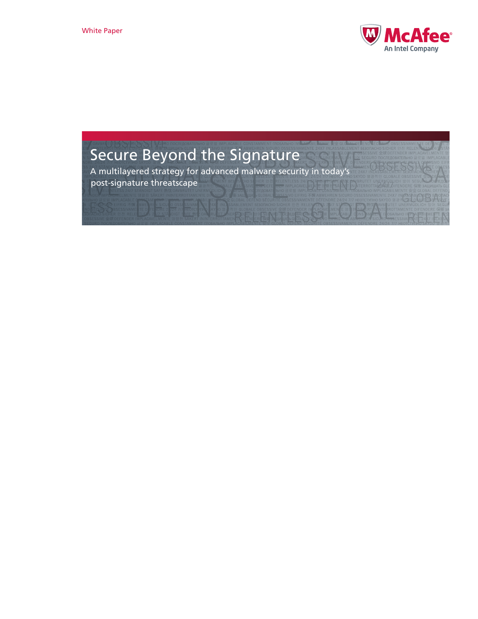

# Secure Beyond the Signature

A multilayered strategy for advanced malware security in today's post-signature threatscape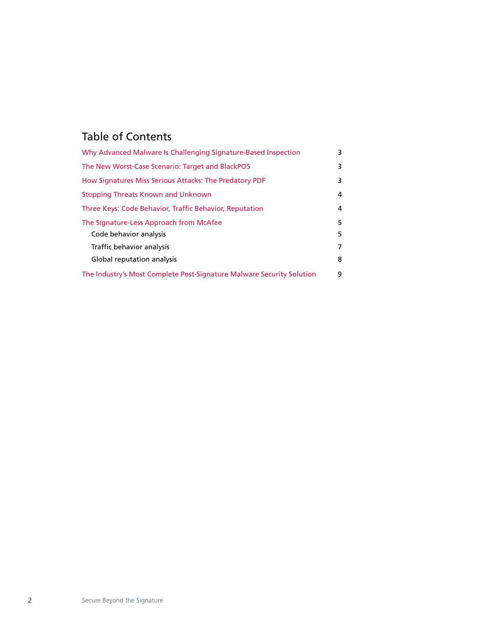# Table of Contents

| Why Advanced Malware Is Challenging Signature-Based Inspection        | 3 |
|-----------------------------------------------------------------------|---|
| The New Worst-Case Scenario: Target and BlackPOS                      | 3 |
| How Signatures Miss Serious Attacks: The Predatory PDF                | 3 |
| Stopping Threats Known and Unknown                                    | 4 |
| Three Keys: Code Behavior, Traffic Behavior, Reputation               | 4 |
| The Signature-Less Approach from McAfee                               | 5 |
| Code behavior analysis                                                | 5 |
| Traffic behavior analysis                                             | 7 |
| Global reputation analysis                                            | 8 |
| The Industry's Most Complete Post-Signature Malware Security Solution | 9 |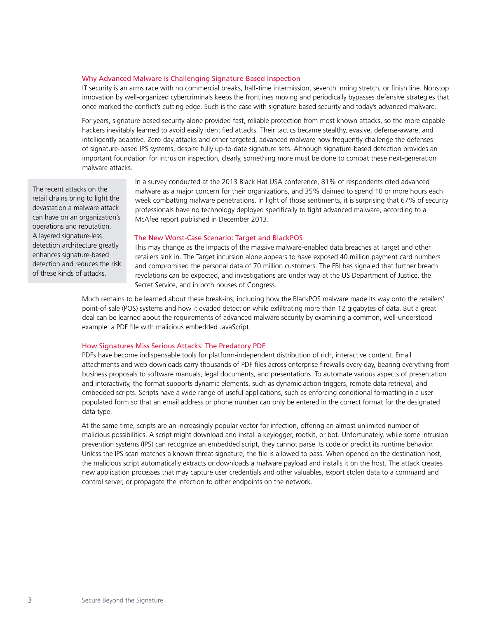#### <span id="page-2-0"></span>Why Advanced Malware Is Challenging Signature-Based Inspection

IT security is an arms race with no commercial breaks, half-time intermission, seventh inning stretch, or finish line. Nonstop innovation by well-organized cybercriminals keeps the frontlines moving and periodically bypasses defensive strategies that once marked the conflict's cutting edge. Such is the case with signature-based security and today's advanced malware.

For years, signature-based security alone provided fast, reliable protection from most known attacks, so the more capable hackers inevitably learned to avoid easily identified attacks. Their tactics became stealthy, evasive, defense-aware, and intelligently adaptive. Zero-day attacks and other targeted, advanced malware now frequently challenge the defenses of signature-based IPS systems, despite fully up-to-date signature sets. Although signature-based detection provides an important foundation for intrusion inspection, clearly, something more must be done to combat these next-generation malware attacks.

The recent attacks on the retail chains bring to light the devastation a malware attack can have on an organization's operations and reputation. A layered signature-less detection architecture greatly enhances signature-based detection and reduces the risk of these kinds of attacks.

In a survey conducted at the 2013 Black Hat USA conference, 81% of respondents cited advanced malware as a major concern for their organizations, and 35% claimed to spend 10 or more hours each week combatting malware penetrations. In light of those sentiments, it is surprising that 67% of security professionals have no technology deployed specifically to fight advanced malware, according to a McAfee report published in December 2013.

#### The New Worst-Case Scenario: Target and BlackPOS

This may change as the impacts of the massive malware-enabled data breaches at Target and other retailers sink in. The Target incursion alone appears to have exposed 40 million payment card numbers and compromised the personal data of 70 million customers. The FBI has signaled that further breach revelations can be expected, and investigations are under way at the US Department of Justice, the Secret Service, and in both houses of Congress.

Much remains to be learned about these break-ins, including how the BlackPOS malware made its way onto the retailers' point-of-sale (POS) systems and how it evaded detection while exfiltrating more than 12 gigabytes of data. But a great deal can be learned about the requirements of advanced malware security by examining a common, well-understood example: a PDF file with malicious embedded JavaScript.

#### How Signatures Miss Serious Attacks: The Predatory PDF

PDFs have become indispensable tools for platform-independent distribution of rich, interactive content. Email attachments and web downloads carry thousands of PDF files across enterprise firewalls every day, bearing everything from business proposals to software manuals, legal documents, and presentations. To automate various aspects of presentation and interactivity, the format supports dynamic elements, such as dynamic action triggers, remote data retrieval, and embedded scripts. Scripts have a wide range of useful applications, such as enforcing conditional formatting in a userpopulated form so that an email address or phone number can only be entered in the correct format for the designated data type.

At the same time, scripts are an increasingly popular vector for infection, offering an almost unlimited number of malicious possibilities. A script might download and install a keylogger, rootkit, or bot. Unfortunately, while some intrusion prevention systems (IPS) can recognize an embedded script, they cannot parse its code or predict its runtime behavior. Unless the IPS scan matches a known threat signature, the file is allowed to pass. When opened on the destination host, the malicious script automatically extracts or downloads a malware payload and installs it on the host. The attack creates new application processes that may capture user credentials and other valuables, export stolen data to a command and control server, or propagate the infection to other endpoints on the network.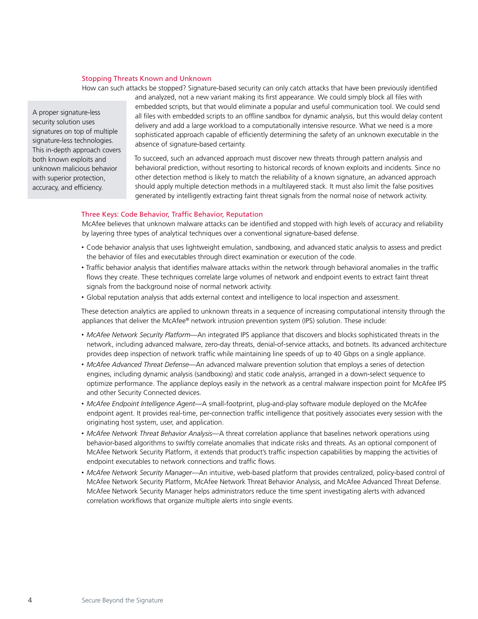### <span id="page-3-0"></span>Stopping Threats Known and Unknown

How can such attacks be stopped? Signature-based security can only catch attacks that have been previously identified

A proper signature-less security solution uses signatures on top of multiple signature-less technologies. This in-depth approach covers both known exploits and unknown malicious behavior with superior protection, accuracy, and efficiency.

and analyzed, not a new variant making its first appearance. We could simply block all files with embedded scripts, but that would eliminate a popular and useful communication tool. We could send all files with embedded scripts to an offline sandbox for dynamic analysis, but this would delay content delivery and add a large workload to a computationally intensive resource. What we need is a more sophisticated approach capable of efficiently determining the safety of an unknown executable in the absence of signature-based certainty.

To succeed, such an advanced approach must discover new threats through pattern analysis and behavioral prediction, without resorting to historical records of known exploits and incidents. Since no other detection method is likely to match the reliability of a known signature, an advanced approach should apply multiple detection methods in a multilayered stack. It must also limit the false positives generated by intelligently extracting faint threat signals from the normal noise of network activity.

#### Three Keys: Code Behavior, Traffic Behavior, Reputation

McAfee believes that unknown malware attacks can be identified and stopped with high levels of accuracy and reliability by layering three types of analytical techniques over a conventional signature-based defense.

- Code behavior analysis that uses lightweight emulation, sandboxing, and advanced static analysis to assess and predict the behavior of files and executables through direct examination or execution of the code.
- Traffic behavior analysis that identifies malware attacks within the network through behavioral anomalies in the traffic flows they create. These techniques correlate large volumes of network and endpoint events to extract faint threat signals from the background noise of normal network activity.
- Global reputation analysis that adds external context and intelligence to local inspection and assessment.

These detection analytics are applied to unknown threats in a sequence of increasing computational intensity through the appliances that deliver the McAfee® network intrusion prevention system (IPS) solution. These include:

- *McAfee Network Security Platform*—An integrated IPS appliance that discovers and blocks sophisticated threats in the network, including advanced malware, zero-day threats, denial-of-service attacks, and botnets. Its advanced architecture provides deep inspection of network traffic while maintaining line speeds of up to 40 Gbps on a single appliance.
- *McAfee Advanced Threat Defense*—An advanced malware prevention solution that employs a series of detection engines, including dynamic analysis (sandboxing) and static code analysis, arranged in a down-select sequence to optimize performance. The appliance deploys easily in the network as a central malware inspection point for McAfee IPS and other Security Connected devices.
- *McAfee Endpoint Intelligence Agent*—A small-footprint, plug-and-play software module deployed on the McAfee endpoint agent. It provides real-time, per-connection traffic intelligence that positively associates every session with the originating host system, user, and application.
- *McAfee Network Threat Behavior Analysis*—A threat correlation appliance that baselines network operations using behavior-based algorithms to swiftly correlate anomalies that indicate risks and threats. As an optional component of McAfee Network Security Platform, it extends that product's traffic inspection capabilities by mapping the activities of endpoint executables to network connections and traffic flows.
- *McAfee Network Security Manager*—An intuitive, web-based platform that provides centralized, policy-based control of McAfee Network Security Platform, McAfee Network Threat Behavior Analysis, and McAfee Advanced Threat Defense. McAfee Network Security Manager helps administrators reduce the time spent investigating alerts with advanced correlation workflows that organize multiple alerts into single events.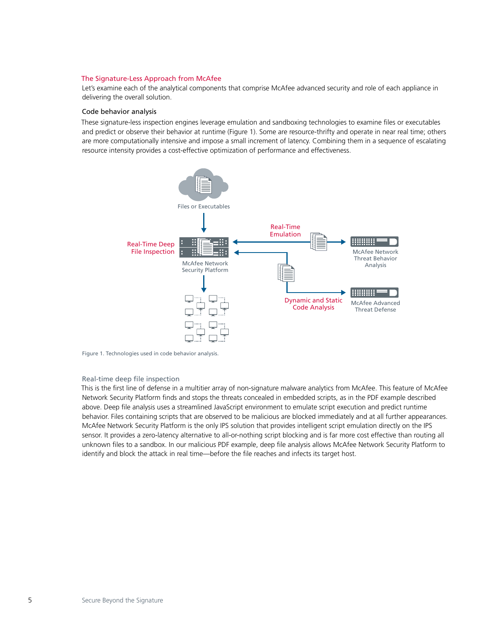#### <span id="page-4-0"></span>The Signature-Less Approach from McAfee

Let's examine each of the analytical components that comprise McAfee advanced security and role of each appliance in delivering the overall solution.

#### Code behavior analysis

These signature-less inspection engines leverage emulation and sandboxing technologies to examine files or executables and predict or observe their behavior at runtime (Figure 1). Some are resource-thrifty and operate in near real time; others are more computationally intensive and impose a small increment of latency. Combining them in a sequence of escalating resource intensity provides a cost-effective optimization of performance and effectiveness.



Figure 1. Technologies used in code behavior analysis.

#### Real-time deep file inspection

This is the first line of defense in a multitier array of non-signature malware analytics from McAfee. This feature of McAfee Network Security Platform finds and stops the threats concealed in embedded scripts, as in the PDF example described above. Deep file analysis uses a streamlined JavaScript environment to emulate script execution and predict runtime behavior. Files containing scripts that are observed to be malicious are blocked immediately and at all further appearances. McAfee Network Security Platform is the only IPS solution that provides intelligent script emulation directly on the IPS sensor. It provides a zero-latency alternative to all-or-nothing script blocking and is far more cost effective than routing all unknown files to a sandbox. In our malicious PDF example, deep file analysis allows McAfee Network Security Platform to identify and block the attack in real time—before the file reaches and infects its target host.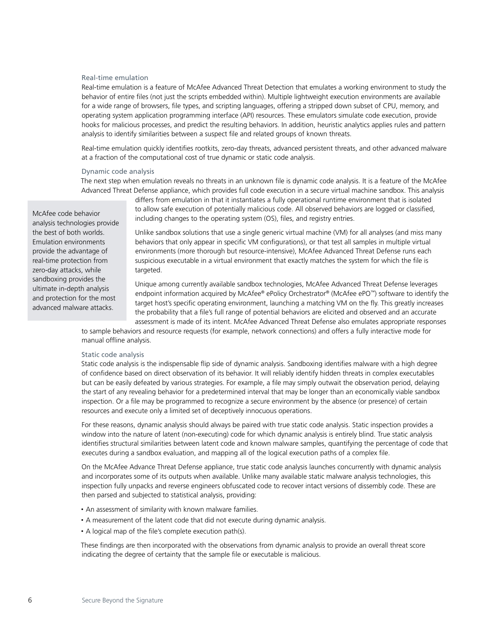#### Real-time emulation

Real-time emulation is a feature of McAfee Advanced Threat Detection that emulates a working environment to study the behavior of entire files (not just the scripts embedded within). Multiple lightweight execution environments are available for a wide range of browsers, file types, and scripting languages, offering a stripped down subset of CPU, memory, and operating system application programming interface (API) resources. These emulators simulate code execution, provide hooks for malicious processes, and predict the resulting behaviors. In addition, heuristic analytics applies rules and pattern analysis to identify similarities between a suspect file and related groups of known threats.

Real-time emulation quickly identifies rootkits, zero-day threats, advanced persistent threats, and other advanced malware at a fraction of the computational cost of true dynamic or static code analysis.

#### Dynamic code analysis

The next step when emulation reveals no threats in an unknown file is dynamic code analysis. It is a feature of the McAfee Advanced Threat Defense appliance, which provides full code execution in a secure virtual machine sandbox. This analysis

> differs from emulation in that it instantiates a fully operational runtime environment that is isolated to allow safe execution of potentially malicious code. All observed behaviors are logged or classified, including changes to the operating system (OS), files, and registry entries.

> Unlike sandbox solutions that use a single generic virtual machine (VM) for all analyses (and miss many behaviors that only appear in specific VM configurations), or that test all samples in multiple virtual environments (more thorough but resource-intensive), McAfee Advanced Threat Defense runs each suspicious executable in a virtual environment that exactly matches the system for which the file is targeted.

Unique among currently available sandbox technologies, McAfee Advanced Threat Defense leverages endpoint information acquired by McAfee® ePolicy Orchestrator® (McAfee ePO™) software to identify the target host's specific operating environment, launching a matching VM on the fly. This greatly increases the probability that a file's full range of potential behaviors are elicited and observed and an accurate assessment is made of its intent. McAfee Advanced Threat Defense also emulates appropriate responses

to sample behaviors and resource requests (for example, network connections) and offers a fully interactive mode for manual offline analysis.

#### Static code analysis

Static code analysis is the indispensable flip side of dynamic analysis. Sandboxing identifies malware with a high degree of confidence based on direct observation of its behavior. It will reliably identify hidden threats in complex executables but can be easily defeated by various strategies. For example, a file may simply outwait the observation period, delaying the start of any revealing behavior for a predetermined interval that may be longer than an economically viable sandbox inspection. Or a file may be programmed to recognize a secure environment by the absence (or presence) of certain resources and execute only a limited set of deceptively innocuous operations.

For these reasons, dynamic analysis should always be paired with true static code analysis. Static inspection provides a window into the nature of latent (non-executing) code for which dynamic analysis is entirely blind. True static analysis identifies structural similarities between latent code and known malware samples, quantifying the percentage of code that executes during a sandbox evaluation, and mapping all of the logical execution paths of a complex file.

On the McAfee Advance Threat Defense appliance, true static code analysis launches concurrently with dynamic analysis and incorporates some of its outputs when available. Unlike many available static malware analysis technologies, this inspection fully unpacks and reverse engineers obfuscated code to recover intact versions of dissembly code. These are then parsed and subjected to statistical analysis, providing:

- An assessment of similarity with known malware families.
- A measurement of the latent code that did not execute during dynamic analysis.
- A logical map of the file's complete execution path(s).

These findings are then incorporated with the observations from dynamic analysis to provide an overall threat score indicating the degree of certainty that the sample file or executable is malicious.

McAfee code behavior analysis technologies provide the best of both worlds. Emulation environments provide the advantage of real-time protection from zero-day attacks, while sandboxing provides the ultimate in-depth analysis and protection for the most advanced malware attacks.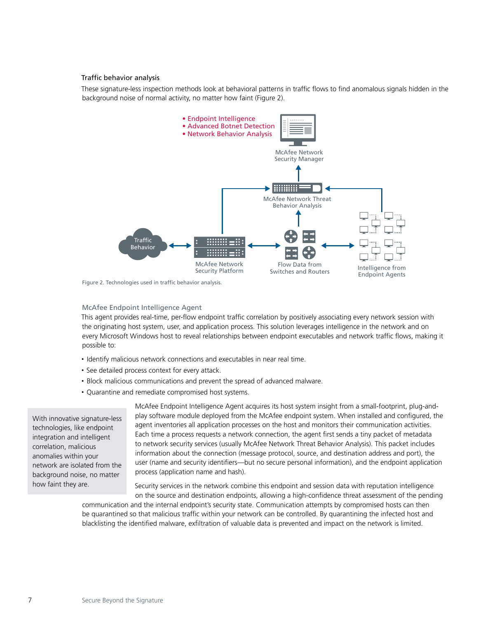#### <span id="page-6-0"></span>Traffic behavior analysis

These signature-less inspection methods look at behavioral patterns in traffic flows to find anomalous signals hidden in the background noise of normal activity, no matter how faint (Figure 2).



Figure 2. Technologies used in traffic behavior analysis.

#### McAfee Endpoint Intelligence Agent

This agent provides real-time, per-flow endpoint traffic correlation by positively associating every network session with the originating host system, user, and application process. This solution leverages intelligence in the network and on every Microsoft Windows host to reveal relationships between endpoint executables and network traffic flows, making it possible to:

- Identify malicious network connections and executables in near real time.
- See detailed process context for every attack.
- Block malicious communications and prevent the spread of advanced malware.
- Quarantine and remediate compromised host systems.

With innovative signature-less technologies, like endpoint integration and intelligent correlation, malicious anomalies within your network are isolated from the background noise, no matter how faint they are.

McAfee Endpoint Intelligence Agent acquires its host system insight from a small-footprint, plug-andplay software module deployed from the McAfee endpoint system. When installed and configured, the agent inventories all application processes on the host and monitors their communication activities. Each time a process requests a network connection, the agent first sends a tiny packet of metadata to network security services (usually McAfee Network Threat Behavior Analysis). This packet includes information about the connection (message protocol, source, and destination address and port), the user (name and security identifiers—but no secure personal information), and the endpoint application process (application name and hash).

Security services in the network combine this endpoint and session data with reputation intelligence on the source and destination endpoints, allowing a high-confidence threat assessment of the pending

communication and the internal endpoint's security state. Communication attempts by compromised hosts can then be quarantined so that malicious traffic within your network can be controlled. By quarantining the infected host and blacklisting the identified malware, exfiltration of valuable data is prevented and impact on the network is limited.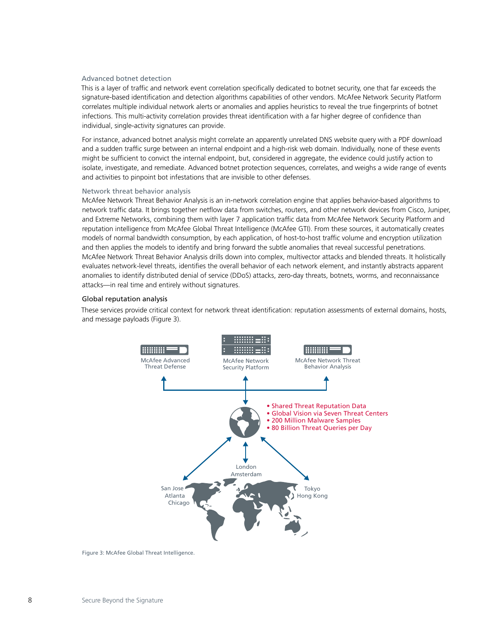#### <span id="page-7-0"></span>Advanced botnet detection

This is a layer of traffic and network event correlation specifically dedicated to botnet security, one that far exceeds the signature-based identification and detection algorithms capabilities of other vendors. McAfee Network Security Platform correlates multiple individual network alerts or anomalies and applies heuristics to reveal the true fingerprints of botnet infections. This multi-activity correlation provides threat identification with a far higher degree of confidence than individual, single-activity signatures can provide.

For instance, advanced botnet analysis might correlate an apparently unrelated DNS website query with a PDF download and a sudden traffic surge between an internal endpoint and a high-risk web domain. Individually, none of these events might be sufficient to convict the internal endpoint, but, considered in aggregate, the evidence could justify action to isolate, investigate, and remediate. Advanced botnet protection sequences, correlates, and weighs a wide range of events and activities to pinpoint bot infestations that are invisible to other defenses.

#### Network threat behavior analysis

McAfee Network Threat Behavior Analysis is an in-network correlation engine that applies behavior-based algorithms to network traffic data. It brings together netflow data from switches, routers, and other network devices from Cisco, Juniper, and Extreme Networks, combining them with layer 7 application traffic data from McAfee Network Security Platform and reputation intelligence from McAfee Global Threat Intelligence (McAfee GTI). From these sources, it automatically creates models of normal bandwidth consumption, by each application, of host-to-host traffic volume and encryption utilization and then applies the models to identify and bring forward the subtle anomalies that reveal successful penetrations. McAfee Network Threat Behavior Analysis drills down into complex, multivector attacks and blended threats. It holistically evaluates network-level threats, identifies the overall behavior of each network element, and instantly abstracts apparent anomalies to identify distributed denial of service (DDoS) attacks, zero-day threats, botnets, worms, and reconnaissance attacks—in real time and entirely without signatures.

#### Global reputation analysis

These services provide critical context for network threat identification: reputation assessments of external domains, hosts, and message payloads (Figure 3).



Figure 3: McAfee Global Threat Intelligence.